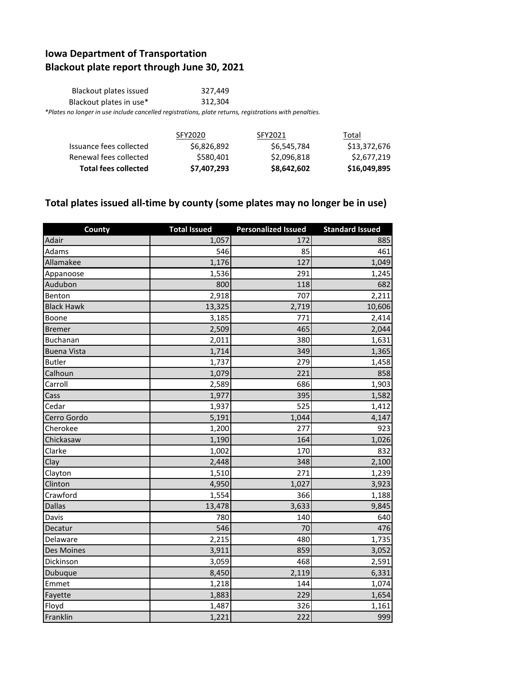## **Iowa Department of Transportation Blackout plate report through June 30, 2021**

| Blackout plates issued                                                                                 | 327.449 |
|--------------------------------------------------------------------------------------------------------|---------|
| Blackout plates in use*                                                                                | 312.304 |
| *Plates no longer in use include cancelled registrations, plate returns, registrations with penalties. |         |

|                             | SFY2020     | SFY2021     | Total        |
|-----------------------------|-------------|-------------|--------------|
| Issuance fees collected     | \$6,826,892 | \$6,545,784 | \$13,372,676 |
| Renewal fees collected      | \$580,401   | \$2,096,818 | \$2,677,219  |
| <b>Total fees collected</b> | \$7,407,293 | \$8,642,602 | \$16,049,895 |

## **Total plates issued all-time by county (some plates may no longer be in use)**

| County             | <b>Total Issued</b> | <b>Personalized Issued</b> | <b>Standard Issued</b> |
|--------------------|---------------------|----------------------------|------------------------|
| Adair              | 1,057               | 172                        | 885                    |
| Adams              | 546                 | 85                         | 461                    |
| Allamakee          | 1,176               | 127                        | 1,049                  |
| Appanoose          | 1,536               | 291                        | 1,245                  |
| Audubon            | 800                 | 118                        | 682                    |
| Benton             | 2,918               | 707                        | 2,211                  |
| <b>Black Hawk</b>  | 13,325              | 2,719                      | 10,606                 |
| Boone              | 3,185               | 771                        | 2,414                  |
| <b>Bremer</b>      | 2,509               | 465                        | 2,044                  |
| Buchanan           | 2,011               | 380                        | 1,631                  |
| <b>Buena Vista</b> | 1,714               | 349                        | 1,365                  |
| <b>Butler</b>      | 1,737               | 279                        | 1,458                  |
| Calhoun            | 1,079               | 221                        | 858                    |
| Carroll            | 2,589               | 686                        | 1,903                  |
| Cass               | 1,977               | 395                        | 1,582                  |
| Cedar              | 1,937               | 525                        | 1,412                  |
| Cerro Gordo        | 5,191               | 1,044                      | 4,147                  |
| Cherokee           | 1,200               | 277                        | 923                    |
| Chickasaw          | 1,190               | 164                        | 1,026                  |
| Clarke             | 1,002               | 170                        | 832                    |
| Clay               | 2,448               | 348                        | 2,100                  |
| Clayton            | 1,510               | 271                        | 1,239                  |
| Clinton            | 4,950               | 1,027                      | 3,923                  |
| Crawford           | 1,554               | 366                        | 1,188                  |
| <b>Dallas</b>      | 13,478              | 3,633                      | 9,845                  |
| Davis              | 780                 | 140                        | 640                    |
| Decatur            | 546                 | 70                         | 476                    |
| Delaware           | 2,215               | 480                        | 1,735                  |
| Des Moines         | 3,911               | 859                        | 3,052                  |
| Dickinson          | 3,059               | 468                        | 2,591                  |
| Dubuque            | 8,450               | 2,119                      | 6,331                  |
| Emmet              | 1,218               | 144                        | 1,074                  |
| Fayette            | 1,883               | 229                        | 1,654                  |
| Floyd              | 1,487               | 326                        | 1,161                  |
| Franklin           | 1,221               | 222                        | 999                    |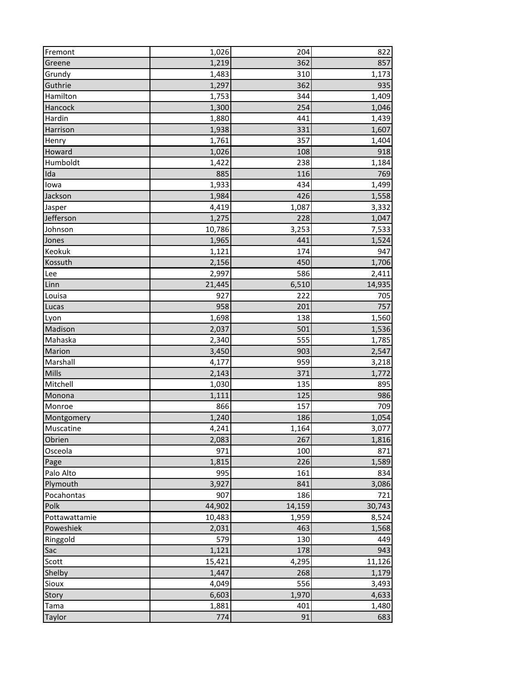| Fremont       | 1,026  | 204    | 822    |
|---------------|--------|--------|--------|
| Greene        | 1,219  | 362    | 857    |
| Grundy        | 1,483  | 310    | 1,173  |
| Guthrie       | 1,297  | 362    | 935    |
| Hamilton      | 1,753  | 344    | 1,409  |
| Hancock       | 1,300  | 254    | 1,046  |
| Hardin        | 1,880  | 441    | 1,439  |
| Harrison      | 1,938  | 331    | 1,607  |
| Henry         | 1,761  | 357    | 1,404  |
| Howard        | 1,026  | 108    | 918    |
| Humboldt      | 1,422  | 238    | 1,184  |
| Ida           | 885    | 116    | 769    |
| lowa          | 1,933  | 434    | 1,499  |
| Jackson       | 1,984  | 426    | 1,558  |
| Jasper        | 4,419  | 1,087  | 3,332  |
| Jefferson     | 1,275  | 228    | 1,047  |
| Johnson       | 10,786 | 3,253  | 7,533  |
| Jones         | 1,965  | 441    | 1,524  |
| Keokuk        | 1,121  | 174    | 947    |
| Kossuth       | 2,156  | 450    | 1,706  |
| Lee           | 2,997  | 586    | 2,411  |
| Linn          | 21,445 | 6,510  | 14,935 |
| Louisa        | 927    | 222    | 705    |
| Lucas         | 958    | 201    | 757    |
| Lyon          | 1,698  | 138    | 1,560  |
| Madison       | 2,037  | 501    | 1,536  |
| Mahaska       | 2,340  | 555    | 1,785  |
| Marion        | 3,450  | 903    | 2,547  |
| Marshall      | 4,177  | 959    | 3,218  |
| Mills         | 2,143  | 371    | 1,772  |
| Mitchell      | 1,030  | 135    | 895    |
| Monona        | 1,111  | 125    | 986    |
| Monroe        | 866    | 157    | 709    |
| Montgomery    | 1,240  | 186    | 1,054  |
| Muscatine     | 4,241  | 1,164  | 3,077  |
| Obrien        | 2,083  | 267    | 1,816  |
| Osceola       | 971    | 100    | 871    |
| Page          | 1,815  | 226    | 1,589  |
| Palo Alto     | 995    | 161    | 834    |
| Plymouth      | 3,927  | 841    | 3,086  |
| Pocahontas    | 907    | 186    | 721    |
| Polk          | 44,902 | 14,159 | 30,743 |
| Pottawattamie | 10,483 | 1,959  | 8,524  |
| Poweshiek     | 2,031  | 463    | 1,568  |
| Ringgold      | 579    | 130    | 449    |
| Sac           | 1,121  | 178    | 943    |
| Scott         | 15,421 | 4,295  | 11,126 |
| Shelby        | 1,447  | 268    | 1,179  |
| Sioux         | 4,049  | 556    | 3,493  |
| Story         | 6,603  | 1,970  | 4,633  |
| Tama          | 1,881  | 401    | 1,480  |
| Taylor        | 774    | 91     | 683    |